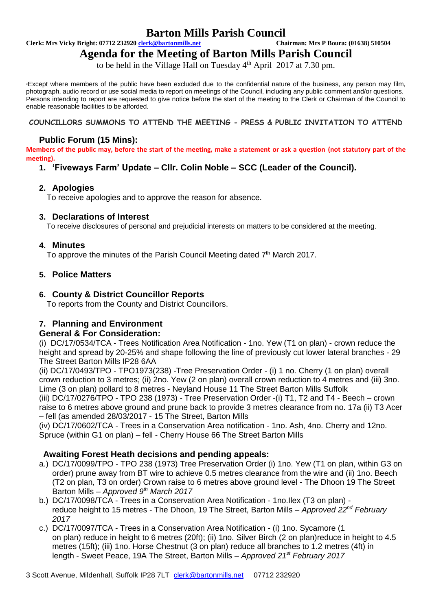# **Barton Mills Parish Council**<br> **Chairman: Mrs P Boura: (01638) 510504**<br>
Chairman: Mrs P Boura: (01638) 510504

**Clerk: Mrs Vicky Bright: 07712 232920 <b>clerk@bartonmills.net** 

## **Agenda for the Meeting of Barton Mills Parish Council**

to be held in the Village Hall on Tuesday 4<sup>th</sup> April 2017 at 7.30 pm.

\*Except where members of the public have been excluded due to the confidential nature of the business, any person may film, photograph, audio record or use social media to report on meetings of the Council, including any public comment and/or questions. Persons intending to report are requested to give notice before the start of the meeting to the Clerk or Chairman of the Council to enable reasonable facilities to be afforded.

#### **COUNCILLORS SUMMONS TO ATTEND THE MEETING - PRESS & PUBLIC INVITATION TO ATTEND**

#### **Public Forum (15 Mins):**

**Members of the public may, before the start of the meeting, make a statement or ask a question (not statutory part of the meeting).**

## **1. 'Fiveways Farm' Update – Cllr. Colin Noble – SCC (Leader of the Council).**

#### **2. Apologies**

To receive apologies and to approve the reason for absence.

#### **3. Declarations of Interest**

To receive disclosures of personal and prejudicial interests on matters to be considered at the meeting.

#### **4. Minutes**

To approve the minutes of the Parish Council Meeting dated 7<sup>th</sup> March 2017.

#### **5. Police Matters**

#### **6. County & District Councillor Reports**

To reports from the County and District Councillors.

## **7. Planning and Environment**

## **General & For Consideration:**

(i) DC/17/0534/TCA - Trees Notification Area Notification - 1no. Yew (T1 on plan) - crown reduce the height and spread by 20-25% and shape following the line of previously cut lower lateral branches - 29 The Street Barton Mills IP28 6AA

(ii) DC/17/0493/TPO - TPO1973(238) -Tree Preservation Order - (i) 1 no. Cherry (1 on plan) overall crown reduction to 3 metres; (ii) 2no. Yew (2 on plan) overall crown reduction to 4 metres and (iii) 3no. Lime (3 on plan) pollard to 8 metres - Neyland House 11 The Street Barton Mills Suffolk

(iii) DC/17/0276/TPO - TPO 238 (1973) - Tree Preservation Order -(i) T1, T2 and T4 - Beech – crown raise to 6 metres above ground and prune back to provide 3 metres clearance from no. 17a (ii) T3 Acer – fell (as amended 28/03/2017 - 15 The Street, Barton Mills

(iv) DC/17/0602/TCA - Trees in a Conservation Area notification - 1no. Ash, 4no. Cherry and 12no. Spruce (within G1 on plan) – fell - Cherry House 66 The Street Barton Mills

## **Awaiting Forest Heath decisions and pending appeals:**

- a.) DC/17/0099/TPO TPO 238 (1973) Tree Preservation Order (i) 1no. Yew (T1 on plan, within G3 on order) prune away from BT wire to achieve 0.5 metres clearance from the wire and (ii) 1no. Beech (T2 on plan, T3 on order) Crown raise to 6 metres above ground level - The Dhoon 19 The Street Barton Mills – *Approved 9th March 2017*
- b.) DC/17/0098/TCA Trees in a Conservation Area Notification 1no.Ilex (T3 on plan) reduce height to 15 metres - The Dhoon, 19 The Street, Barton Mills – *Approved 22nd February 2017*
- c.) DC/17/0097/TCA Trees in a Conservation Area Notification (i) 1no. Sycamore (1 on plan) reduce in height to 6 metres (20ft); (ii) 1no. Silver Birch (2 on plan)reduce in height to 4.5 metres (15ft); (iii) 1no. Horse Chestnut (3 on plan) reduce all branches to 1.2 metres (4ft) in length - Sweet Peace, 19A The Street, Barton Mills – *Approved 21st February 2017*